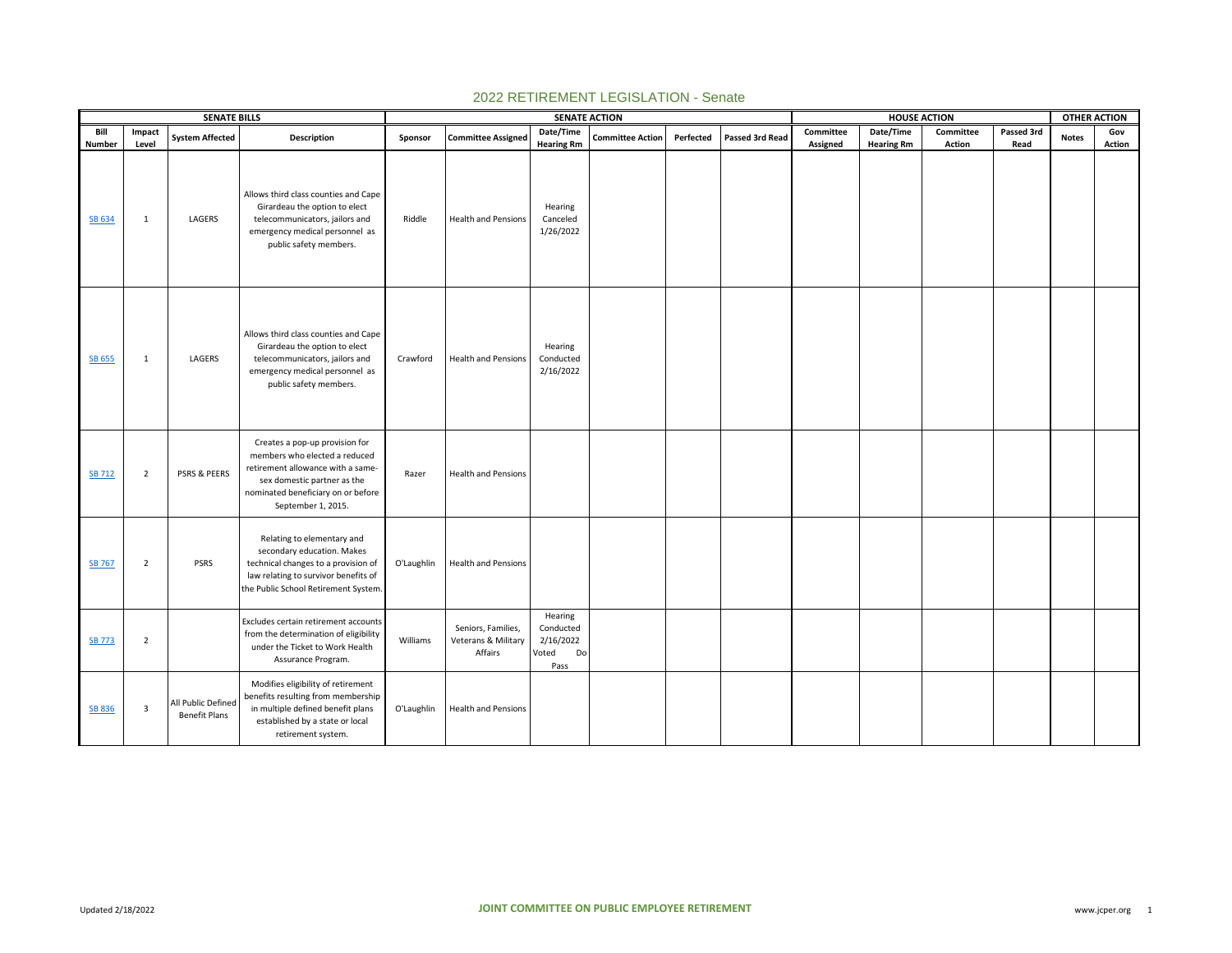|               |                | <b>SENATE BILLS</b>                        |                                                                                                                                                                                                 |            |                                                      |                                                          | <b>SENATE ACTION</b>    | <b>HOUSE ACTION</b> |                 |           |                   | <b>OTHER ACTION</b> |            |              |        |
|---------------|----------------|--------------------------------------------|-------------------------------------------------------------------------------------------------------------------------------------------------------------------------------------------------|------------|------------------------------------------------------|----------------------------------------------------------|-------------------------|---------------------|-----------------|-----------|-------------------|---------------------|------------|--------------|--------|
| Bill          | Impact         | <b>System Affected</b>                     | Description                                                                                                                                                                                     | Sponsor    | <b>Committee Assigned</b>                            | Date/Time                                                | <b>Committee Action</b> | Perfected           | Passed 3rd Read | Committee | Date/Time         | Committee           | Passed 3rd | <b>Notes</b> | Gov    |
| Number        | Level          |                                            |                                                                                                                                                                                                 |            |                                                      | <b>Hearing Rm</b>                                        |                         |                     |                 | Assigned  | <b>Hearing Rm</b> | <b>Action</b>       | Read       |              | Action |
| SB 634        | 1              | LAGERS                                     | Allows third class counties and Cape<br>Girardeau the option to elect<br>telecommunicators, jailors and<br>emergency medical personnel as<br>public safety members.                             | Riddle     | <b>Health and Pensions</b>                           | Hearing<br>Canceled<br>1/26/2022                         |                         |                     |                 |           |                   |                     |            |              |        |
| <b>SB 655</b> | 1              | LAGERS                                     | Allows third class counties and Cape<br>Girardeau the option to elect<br>telecommunicators, jailors and<br>emergency medical personnel as<br>public safety members.                             | Crawford   | <b>Health and Pensions</b>                           | Hearing<br>Conducted<br>2/16/2022                        |                         |                     |                 |           |                   |                     |            |              |        |
| <b>SB 712</b> | $\overline{2}$ | PSRS & PEERS                               | Creates a pop-up provision for<br>members who elected a reduced<br>retirement allowance with a same-<br>sex domestic partner as the<br>nominated beneficiary on or before<br>September 1, 2015. | Razer      | <b>Health and Pensions</b>                           |                                                          |                         |                     |                 |           |                   |                     |            |              |        |
| <b>SB 767</b> | $\overline{2}$ | <b>PSRS</b>                                | Relating to elementary and<br>secondary education. Makes<br>technical changes to a provision of<br>law relating to survivor benefits of<br>the Public School Retirement System.                 | O'Laughlin | <b>Health and Pensions</b>                           |                                                          |                         |                     |                 |           |                   |                     |            |              |        |
| <b>SB 773</b> | $\overline{2}$ |                                            | Excludes certain retirement accounts<br>from the determination of eligibility<br>under the Ticket to Work Health<br>Assurance Program.                                                          | Williams   | Seniors, Families,<br>Veterans & Military<br>Affairs | Hearing<br>Conducted<br>2/16/2022<br>Voted<br>Do<br>Pass |                         |                     |                 |           |                   |                     |            |              |        |
| SB 836        | $\overline{3}$ | All Public Defined<br><b>Benefit Plans</b> | Modifies eligibility of retirement<br>benefits resulting from membership<br>in multiple defined benefit plans<br>established by a state or local<br>retirement system.                          | O'Laughlin | Health and Pensions                                  |                                                          |                         |                     |                 |           |                   |                     |            |              |        |

## 2022 RETIREMENT LEGISLATION - Senate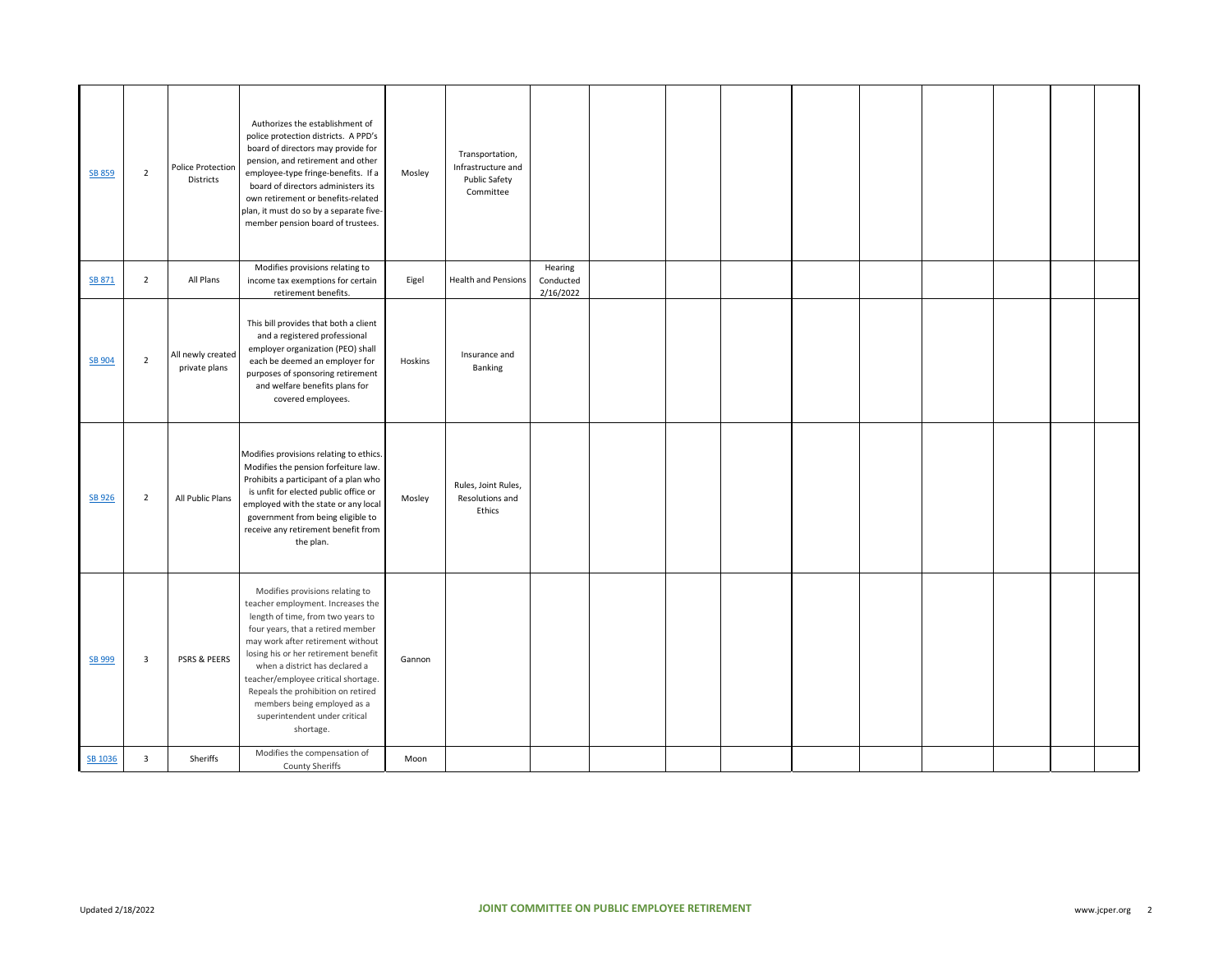| <b>SB 859</b> | $\overline{2}$ | Police Protection<br>Districts     | Authorizes the establishment of<br>police protection districts. A PPD's<br>board of directors may provide for<br>pension, and retirement and other<br>employee-type fringe-benefits. If a<br>board of directors administers its<br>own retirement or benefits-related<br>plan, it must do so by a separate five-<br>member pension board of trustees.                                                                   | Mosley  | Transportation,<br>Infrastructure and<br><b>Public Safety</b><br>Committee |                                   |  |  |  |  |  |
|---------------|----------------|------------------------------------|-------------------------------------------------------------------------------------------------------------------------------------------------------------------------------------------------------------------------------------------------------------------------------------------------------------------------------------------------------------------------------------------------------------------------|---------|----------------------------------------------------------------------------|-----------------------------------|--|--|--|--|--|
| SB 871        | $\overline{2}$ | All Plans                          | Modifies provisions relating to<br>income tax exemptions for certain<br>retirement benefits.                                                                                                                                                                                                                                                                                                                            | Eigel   | <b>Health and Pensions</b>                                                 | Hearing<br>Conducted<br>2/16/2022 |  |  |  |  |  |
| <b>SB 904</b> | $\overline{2}$ | All newly created<br>private plans | This bill provides that both a client<br>and a registered professional<br>employer organization (PEO) shall<br>each be deemed an employer for<br>purposes of sponsoring retirement<br>and welfare benefits plans for<br>covered employees.                                                                                                                                                                              | Hoskins | Insurance and<br>Banking                                                   |                                   |  |  |  |  |  |
| SB 926        | $\overline{2}$ | All Public Plans                   | Modifies provisions relating to ethics.<br>Modifies the pension forfeiture law.<br>Prohibits a participant of a plan who<br>is unfit for elected public office or<br>employed with the state or any local<br>government from being eligible to<br>receive any retirement benefit from<br>the plan.                                                                                                                      | Mosley  | Rules, Joint Rules,<br>Resolutions and<br>Ethics                           |                                   |  |  |  |  |  |
| <b>SB 999</b> | $\mathbf{3}$   | PSRS & PEERS                       | Modifies provisions relating to<br>teacher employment. Increases the<br>length of time, from two years to<br>four years, that a retired member<br>may work after retirement without<br>losing his or her retirement benefit<br>when a district has declared a<br>teacher/employee critical shortage.<br>Repeals the prohibition on retired<br>members being employed as a<br>superintendent under critical<br>shortage. | Gannon  |                                                                            |                                   |  |  |  |  |  |
| SB 1036       | 3              | Sheriffs                           | Modifies the compensation of<br><b>County Sheriffs</b>                                                                                                                                                                                                                                                                                                                                                                  | Moon    |                                                                            |                                   |  |  |  |  |  |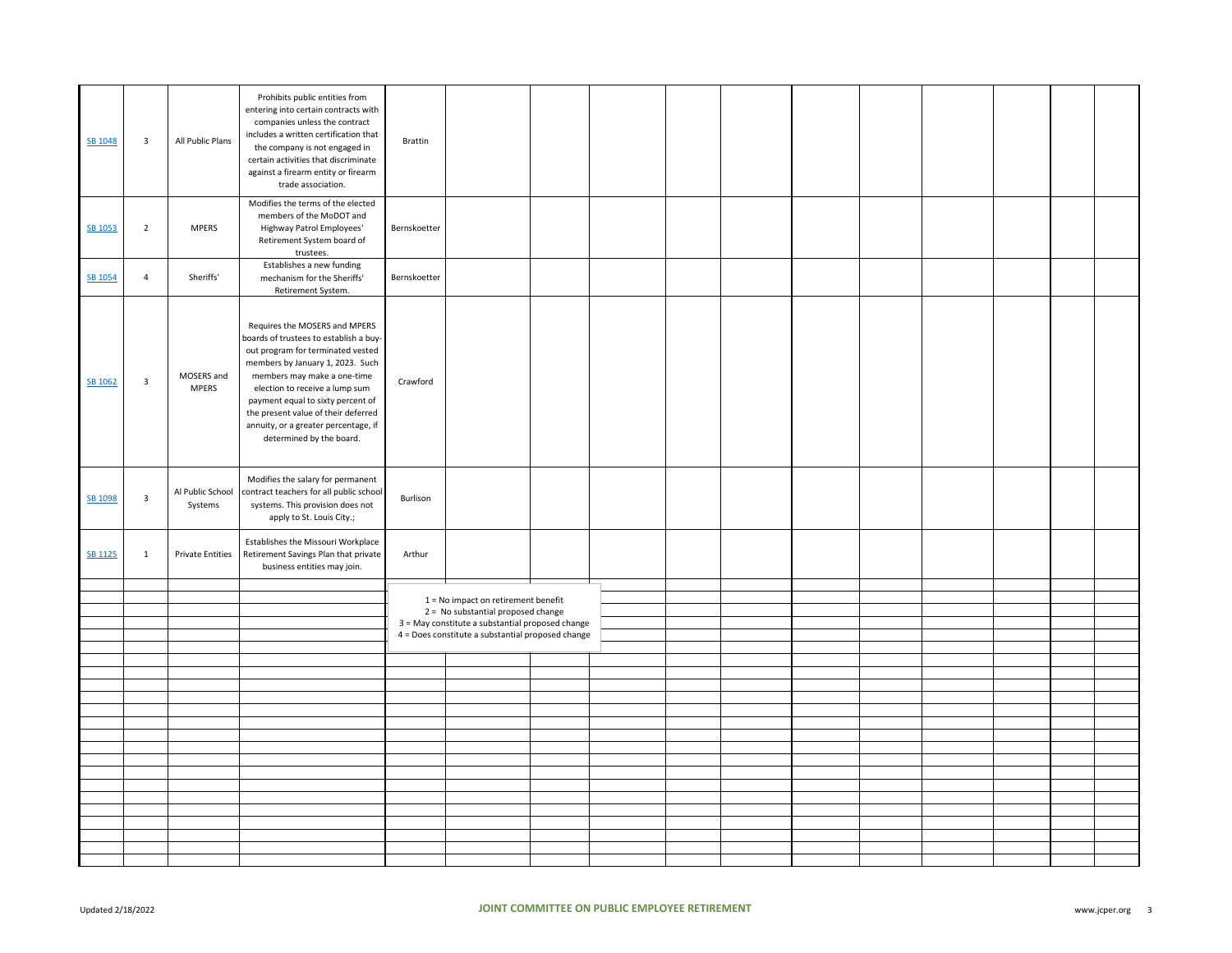| SB 1048 | $\mathbf{3}$   | All Public Plans            | Prohibits public entities from<br>entering into certain contracts with<br>companies unless the contract<br>includes a written certification that<br>the company is not engaged in<br>certain activities that discriminate<br>against a firearm entity or firearm<br>trade association.                                                                            | <b>Brattin</b> |                                                   |  |  |  |  |  |
|---------|----------------|-----------------------------|-------------------------------------------------------------------------------------------------------------------------------------------------------------------------------------------------------------------------------------------------------------------------------------------------------------------------------------------------------------------|----------------|---------------------------------------------------|--|--|--|--|--|
| SB 1053 | $\overline{2}$ | <b>MPERS</b>                | Modifies the terms of the elected<br>members of the MoDOT and<br>Highway Patrol Employees'<br>Retirement System board of<br>trustees.                                                                                                                                                                                                                             | Bernskoetter   |                                                   |  |  |  |  |  |
| SB 1054 | $\overline{4}$ | Sheriffs'                   | Establishes a new funding<br>mechanism for the Sheriffs'<br>Retirement System.                                                                                                                                                                                                                                                                                    | Bernskoetter   |                                                   |  |  |  |  |  |
| SB 1062 | $\mathbf{3}$   | MOSERS and<br><b>MPERS</b>  | Requires the MOSERS and MPERS<br>boards of trustees to establish a buy-<br>out program for terminated vested<br>members by January 1, 2023. Such<br>members may make a one-time<br>election to receive a lump sum<br>payment equal to sixty percent of<br>the present value of their deferred<br>annuity, or a greater percentage, if<br>determined by the board. | Crawford       |                                                   |  |  |  |  |  |
| SB 1098 | $\mathbf{3}$   | Al Public School<br>Systems | Modifies the salary for permanent<br>contract teachers for all public school<br>systems. This provision does not<br>apply to St. Louis City.;                                                                                                                                                                                                                     | Burlison       |                                                   |  |  |  |  |  |
| SB 1125 | $\mathbf{1}$   | <b>Private Entities</b>     | Establishes the Missouri Workplace<br>Retirement Savings Plan that private<br>business entities may join.                                                                                                                                                                                                                                                         | Arthur         |                                                   |  |  |  |  |  |
|         |                |                             |                                                                                                                                                                                                                                                                                                                                                                   |                |                                                   |  |  |  |  |  |
|         |                |                             |                                                                                                                                                                                                                                                                                                                                                                   |                | 1 = No impact on retirement benefit               |  |  |  |  |  |
|         |                |                             |                                                                                                                                                                                                                                                                                                                                                                   |                | 2 = No substantial proposed change                |  |  |  |  |  |
|         |                |                             |                                                                                                                                                                                                                                                                                                                                                                   |                | 3 = May constitute a substantial proposed change  |  |  |  |  |  |
|         |                |                             |                                                                                                                                                                                                                                                                                                                                                                   |                | 4 = Does constitute a substantial proposed change |  |  |  |  |  |
|         |                |                             |                                                                                                                                                                                                                                                                                                                                                                   |                |                                                   |  |  |  |  |  |
|         |                |                             |                                                                                                                                                                                                                                                                                                                                                                   |                |                                                   |  |  |  |  |  |
|         |                |                             |                                                                                                                                                                                                                                                                                                                                                                   |                |                                                   |  |  |  |  |  |
|         |                |                             |                                                                                                                                                                                                                                                                                                                                                                   |                |                                                   |  |  |  |  |  |
|         |                |                             |                                                                                                                                                                                                                                                                                                                                                                   |                |                                                   |  |  |  |  |  |
|         |                |                             |                                                                                                                                                                                                                                                                                                                                                                   |                |                                                   |  |  |  |  |  |
|         |                |                             |                                                                                                                                                                                                                                                                                                                                                                   |                |                                                   |  |  |  |  |  |
|         |                |                             |                                                                                                                                                                                                                                                                                                                                                                   |                |                                                   |  |  |  |  |  |
|         |                |                             |                                                                                                                                                                                                                                                                                                                                                                   |                |                                                   |  |  |  |  |  |
|         |                |                             |                                                                                                                                                                                                                                                                                                                                                                   |                |                                                   |  |  |  |  |  |
|         |                |                             |                                                                                                                                                                                                                                                                                                                                                                   |                |                                                   |  |  |  |  |  |
|         |                |                             |                                                                                                                                                                                                                                                                                                                                                                   |                |                                                   |  |  |  |  |  |
|         |                |                             |                                                                                                                                                                                                                                                                                                                                                                   |                |                                                   |  |  |  |  |  |
|         |                |                             |                                                                                                                                                                                                                                                                                                                                                                   |                |                                                   |  |  |  |  |  |
|         |                |                             |                                                                                                                                                                                                                                                                                                                                                                   |                |                                                   |  |  |  |  |  |
|         |                |                             |                                                                                                                                                                                                                                                                                                                                                                   |                |                                                   |  |  |  |  |  |
|         |                |                             |                                                                                                                                                                                                                                                                                                                                                                   |                |                                                   |  |  |  |  |  |
|         |                |                             |                                                                                                                                                                                                                                                                                                                                                                   |                |                                                   |  |  |  |  |  |
|         |                |                             |                                                                                                                                                                                                                                                                                                                                                                   |                |                                                   |  |  |  |  |  |
|         |                |                             |                                                                                                                                                                                                                                                                                                                                                                   |                |                                                   |  |  |  |  |  |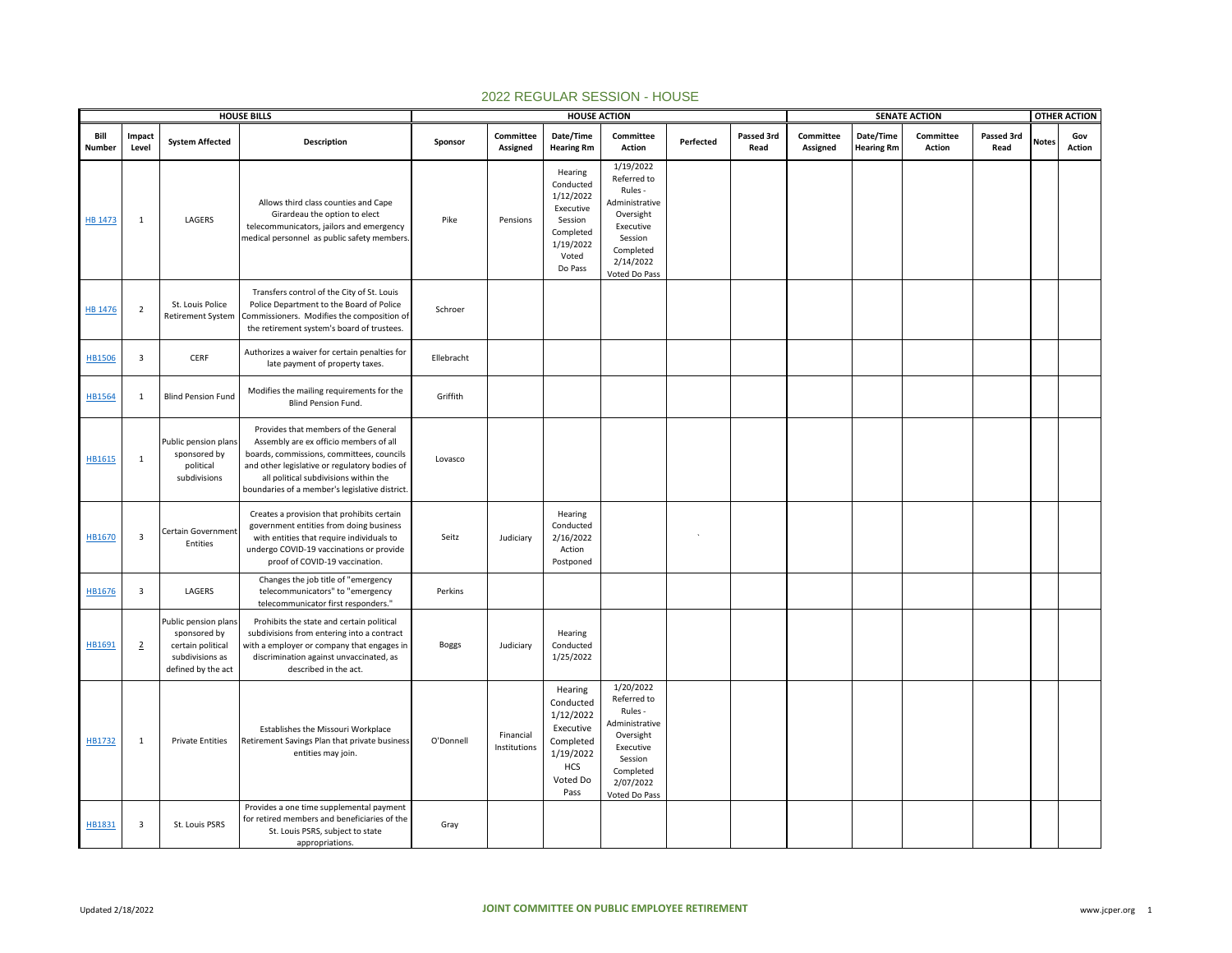|                | <b>HOUSE BILLS</b>      |                                                                                                    |                                                                                                                                                                                                                                                                         | <b>HOUSE ACTION</b> |                           |                                                                                                            |                                                                                                                                       |           |                    |                       | <b>SENATE ACTION</b>           |                     |                    |              | <b>OTHER ACTION</b> |
|----------------|-------------------------|----------------------------------------------------------------------------------------------------|-------------------------------------------------------------------------------------------------------------------------------------------------------------------------------------------------------------------------------------------------------------------------|---------------------|---------------------------|------------------------------------------------------------------------------------------------------------|---------------------------------------------------------------------------------------------------------------------------------------|-----------|--------------------|-----------------------|--------------------------------|---------------------|--------------------|--------------|---------------------|
| Bill<br>Number | Impact<br>Level         | <b>System Affected</b>                                                                             | <b>Description</b>                                                                                                                                                                                                                                                      | Sponsor             | Committee<br>Assigned     | Date/Time<br><b>Hearing Rm</b>                                                                             | Committee<br>Action                                                                                                                   | Perfected | Passed 3rd<br>Read | Committee<br>Assigned | Date/Time<br><b>Hearing Rm</b> | Committee<br>Action | Passed 3rd<br>Read | <b>Notes</b> | Gov<br>Action       |
| HB 1473        | $\mathbf{1}$            | LAGERS                                                                                             | Allows third class counties and Cape<br>Girardeau the option to elect<br>telecommunicators, jailors and emergency<br>medical personnel as public safety members                                                                                                         | Pike                | Pensions                  | Hearing<br>Conducted<br>1/12/2022<br>Executive<br>Session<br>Completed<br>1/19/2022<br>Voted<br>Do Pass    | 1/19/2022<br>Referred to<br>Rules -<br>Administrative<br>Oversight<br>Executive<br>Session<br>Completed<br>2/14/2022<br>Voted Do Pass |           |                    |                       |                                |                     |                    |              |                     |
| <b>HB 1476</b> | $\overline{2}$          | St. Louis Police<br><b>Retirement System</b>                                                       | Transfers control of the City of St. Louis<br>Police Department to the Board of Police<br>Commissioners. Modifies the composition of<br>the retirement system's board of trustees.                                                                                      | Schroer             |                           |                                                                                                            |                                                                                                                                       |           |                    |                       |                                |                     |                    |              |                     |
| <b>HB1506</b>  | $\overline{\mathbf{3}}$ | CERF                                                                                               | Authorizes a waiver for certain penalties for<br>late payment of property taxes.                                                                                                                                                                                        | Ellebracht          |                           |                                                                                                            |                                                                                                                                       |           |                    |                       |                                |                     |                    |              |                     |
| HB1564         | 1                       | <b>Blind Pension Fund</b>                                                                          | Modifies the mailing requirements for the<br>Blind Pension Fund.                                                                                                                                                                                                        | Griffith            |                           |                                                                                                            |                                                                                                                                       |           |                    |                       |                                |                     |                    |              |                     |
| HB1615         | $\mathbf{1}$            | Public pension plans<br>sponsored by<br>political<br>subdivisions                                  | Provides that members of the General<br>Assembly are ex officio members of all<br>boards, commissions, committees, councils<br>and other legislative or regulatory bodies of<br>all political subdivisions within the<br>boundaries of a member's legislative district. | Lovasco             |                           |                                                                                                            |                                                                                                                                       |           |                    |                       |                                |                     |                    |              |                     |
| HB1670         | $\overline{\mathbf{3}}$ | Certain Government<br>Entities                                                                     | Creates a provision that prohibits certain<br>government entities from doing business<br>with entities that require individuals to<br>undergo COVID-19 vaccinations or provide<br>proof of COVID-19 vaccination.                                                        | Seitz               | Judiciary                 | Hearing<br>Conducted<br>2/16/2022<br>Action<br>Postponed                                                   |                                                                                                                                       |           |                    |                       |                                |                     |                    |              |                     |
| HB1676         | $\overline{\mathbf{3}}$ | LAGERS                                                                                             | Changes the job title of "emergency<br>telecommunicators" to "emergency<br>telecommunicator first responders."                                                                                                                                                          | Perkins             |                           |                                                                                                            |                                                                                                                                       |           |                    |                       |                                |                     |                    |              |                     |
| HB1691         | $\overline{2}$          | Public pension plans<br>sponsored by<br>certain political<br>subdivisions as<br>defined by the act | Prohibits the state and certain political<br>subdivisions from entering into a contract<br>with a employer or company that engages in<br>discrimination against unvaccinated, as<br>described in the act.                                                               | <b>Boggs</b>        | Judiciary                 | Hearing<br>Conducted<br>1/25/2022                                                                          |                                                                                                                                       |           |                    |                       |                                |                     |                    |              |                     |
| HB1732         | 1                       | <b>Private Entities</b>                                                                            | Establishes the Missouri Workplace<br>Retirement Savings Plan that private business<br>entities may join.                                                                                                                                                               | O'Donnell           | Financial<br>Institutions | Hearing<br>Conducted<br>1/12/2022<br>Executive<br>Completed<br>1/19/2022<br><b>HCS</b><br>Voted Do<br>Pass | 1/20/2022<br>Referred to<br>Rules -<br>Administrative<br>Oversight<br>Executive<br>Session<br>Completed<br>2/07/2022<br>Voted Do Pass |           |                    |                       |                                |                     |                    |              |                     |
| HB1831         | $\overline{\mathbf{3}}$ | St. Louis PSRS                                                                                     | Provides a one time supplemental payment<br>for retired members and beneficiaries of the<br>St. Louis PSRS, subject to state<br>appropriations.                                                                                                                         | Gray                |                           |                                                                                                            |                                                                                                                                       |           |                    |                       |                                |                     |                    |              |                     |

## 2022 REGULAR SESSION - HOUSE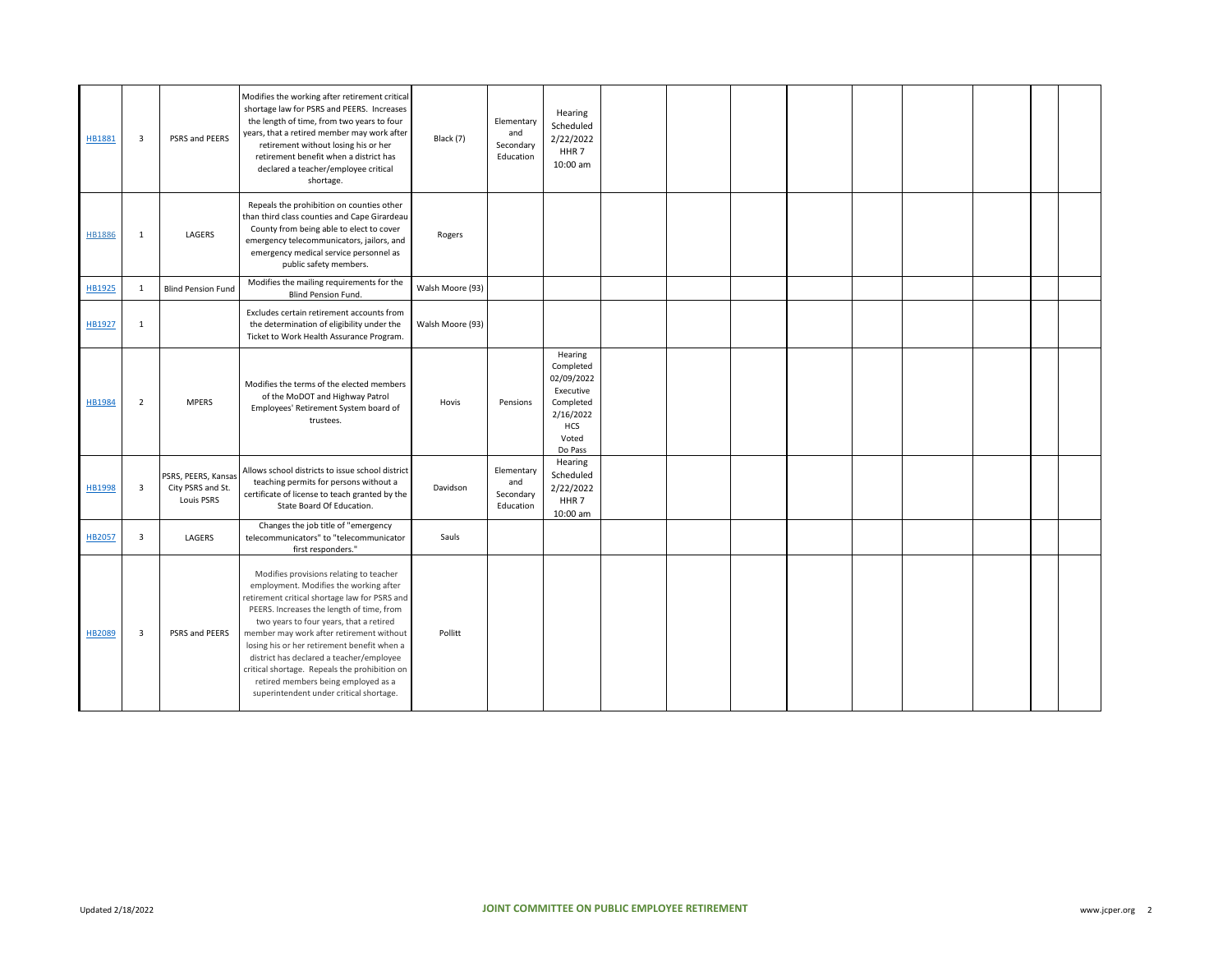| HB1881        | $\overline{\mathbf{3}}$ | PSRS and PEERS                                         | Modifies the working after retirement critical<br>shortage law for PSRS and PEERS. Increases<br>the length of time, from two years to four<br>years, that a retired member may work after<br>retirement without losing his or her<br>retirement benefit when a district has<br>declared a teacher/employee critical<br>shortage.                                                                                                                                                                     | Black (7)        | Elementary<br>and<br>Secondary<br>Education | Hearing<br>Scheduled<br>2/22/2022<br>HHR <sub>7</sub><br>10:00 am                                    |  |  |  |  |  |
|---------------|-------------------------|--------------------------------------------------------|------------------------------------------------------------------------------------------------------------------------------------------------------------------------------------------------------------------------------------------------------------------------------------------------------------------------------------------------------------------------------------------------------------------------------------------------------------------------------------------------------|------------------|---------------------------------------------|------------------------------------------------------------------------------------------------------|--|--|--|--|--|
| <b>HB1886</b> | 1                       | LAGERS                                                 | Repeals the prohibition on counties other<br>than third class counties and Cape Girardeau<br>County from being able to elect to cover<br>emergency telecommunicators, jailors, and<br>emergency medical service personnel as<br>public safety members.                                                                                                                                                                                                                                               | Rogers           |                                             |                                                                                                      |  |  |  |  |  |
| HB1925        | 1                       | <b>Blind Pension Fund</b>                              | Modifies the mailing requirements for the<br><b>Blind Pension Fund.</b>                                                                                                                                                                                                                                                                                                                                                                                                                              | Walsh Moore (93) |                                             |                                                                                                      |  |  |  |  |  |
| HB1927        | 1                       |                                                        | Excludes certain retirement accounts from<br>the determination of eligibility under the<br>Ticket to Work Health Assurance Program.                                                                                                                                                                                                                                                                                                                                                                  | Walsh Moore (93) |                                             |                                                                                                      |  |  |  |  |  |
| HB1984        | $\overline{2}$          | <b>MPERS</b>                                           | Modifies the terms of the elected members<br>of the MoDOT and Highway Patrol<br>Employees' Retirement System board of<br>trustees.                                                                                                                                                                                                                                                                                                                                                                   | Hovis            | Pensions                                    | Hearing<br>Completed<br>02/09/2022<br>Executive<br>Completed<br>2/16/2022<br>HCS<br>Voted<br>Do Pass |  |  |  |  |  |
| HB1998        | $\overline{\mathbf{3}}$ | PSRS, PEERS, Kansas<br>City PSRS and St.<br>Louis PSRS | Allows school districts to issue school district<br>teaching permits for persons without a<br>certificate of license to teach granted by the<br>State Board Of Education.                                                                                                                                                                                                                                                                                                                            | Davidson         | Elementary<br>and<br>Secondary<br>Education | Hearing<br>Scheduled<br>2/22/2022<br>HHR <sub>7</sub><br>10:00 am                                    |  |  |  |  |  |
| HB2057        | $\overline{\mathbf{3}}$ | LAGERS                                                 | Changes the job title of "emergency<br>telecommunicators" to "telecommunicator<br>first responders."                                                                                                                                                                                                                                                                                                                                                                                                 | Sauls            |                                             |                                                                                                      |  |  |  |  |  |
| <b>HB2089</b> | $\overline{\mathbf{3}}$ | PSRS and PEERS                                         | Modifies provisions relating to teacher<br>employment. Modifies the working after<br>retirement critical shortage law for PSRS and<br>PEERS. Increases the length of time, from<br>two years to four years, that a retired<br>member may work after retirement without<br>losing his or her retirement benefit when a<br>district has declared a teacher/employee<br>critical shortage. Repeals the prohibition on<br>retired members being employed as a<br>superintendent under critical shortage. | Pollitt          |                                             |                                                                                                      |  |  |  |  |  |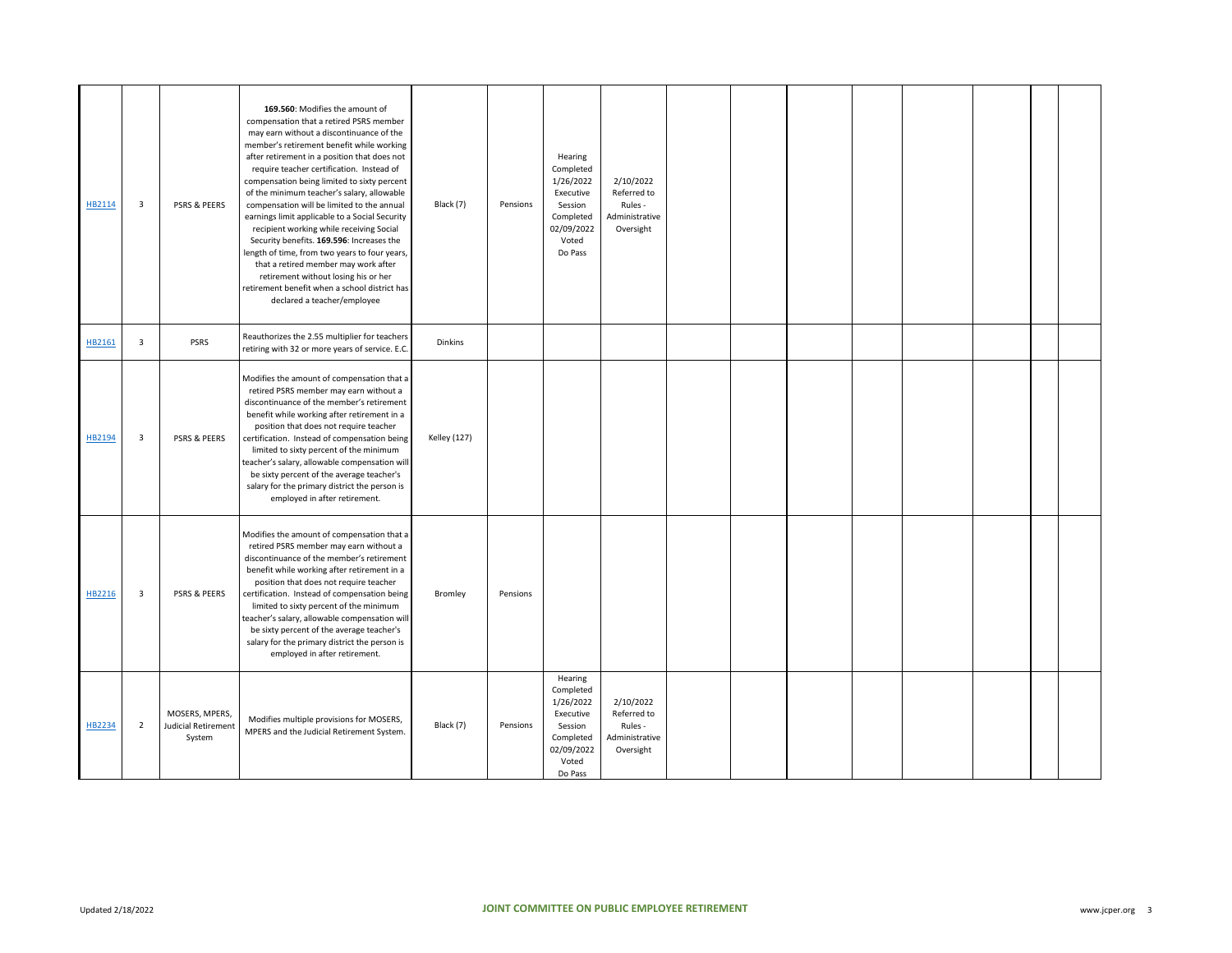| HB2114 | 3                       | PSRS & PEERS                                           | 169.560: Modifies the amount of<br>compensation that a retired PSRS member<br>may earn without a discontinuance of the<br>member's retirement benefit while working<br>after retirement in a position that does not<br>require teacher certification. Instead of<br>compensation being limited to sixty percent<br>of the minimum teacher's salary, allowable<br>compensation will be limited to the annual<br>earnings limit applicable to a Social Security<br>recipient working while receiving Social<br>Security benefits. 169.596: Increases the<br>length of time, from two years to four years,<br>that a retired member may work after<br>retirement without losing his or her<br>retirement benefit when a school district has<br>declared a teacher/employee | Black (7)           | Pensions | Hearing<br>Completed<br>1/26/2022<br>Executive<br>Session<br>Completed<br>02/09/2022<br>Voted<br>Do Pass | 2/10/2022<br>Referred to<br>Rules -<br>Administrative<br>Oversight |  |  |  |  |
|--------|-------------------------|--------------------------------------------------------|-------------------------------------------------------------------------------------------------------------------------------------------------------------------------------------------------------------------------------------------------------------------------------------------------------------------------------------------------------------------------------------------------------------------------------------------------------------------------------------------------------------------------------------------------------------------------------------------------------------------------------------------------------------------------------------------------------------------------------------------------------------------------|---------------------|----------|----------------------------------------------------------------------------------------------------------|--------------------------------------------------------------------|--|--|--|--|
| HB2161 | 3                       | PSRS                                                   | Reauthorizes the 2.55 multiplier for teachers<br>retiring with 32 or more years of service. E.C.                                                                                                                                                                                                                                                                                                                                                                                                                                                                                                                                                                                                                                                                        | Dinkins             |          |                                                                                                          |                                                                    |  |  |  |  |
| HB2194 | 3                       | PSRS & PEERS                                           | Modifies the amount of compensation that a<br>retired PSRS member may earn without a<br>discontinuance of the member's retirement<br>benefit while working after retirement in a<br>position that does not require teacher<br>certification. Instead of compensation being<br>limited to sixty percent of the minimum<br>teacher's salary, allowable compensation will<br>be sixty percent of the average teacher's<br>salary for the primary district the person is<br>employed in after retirement.                                                                                                                                                                                                                                                                   | <b>Kelley (127)</b> |          |                                                                                                          |                                                                    |  |  |  |  |
| HB2216 | $\overline{\mathbf{3}}$ | PSRS & PEERS                                           | Modifies the amount of compensation that a<br>retired PSRS member may earn without a<br>discontinuance of the member's retirement<br>benefit while working after retirement in a<br>position that does not require teacher<br>certification. Instead of compensation being<br>limited to sixty percent of the minimum<br>teacher's salary, allowable compensation will<br>be sixty percent of the average teacher's<br>salary for the primary district the person is<br>employed in after retirement.                                                                                                                                                                                                                                                                   | Bromley             | Pensions |                                                                                                          |                                                                    |  |  |  |  |
| HB2234 | $\overline{2}$          | MOSERS, MPERS,<br><b>Judicial Retirement</b><br>System | Modifies multiple provisions for MOSERS,<br>MPERS and the Judicial Retirement System.                                                                                                                                                                                                                                                                                                                                                                                                                                                                                                                                                                                                                                                                                   | Black (7)           | Pensions | Hearing<br>Completed<br>1/26/2022<br>Executive<br>Session<br>Completed<br>02/09/2022<br>Voted<br>Do Pass | 2/10/2022<br>Referred to<br>Rules -<br>Administrative<br>Oversight |  |  |  |  |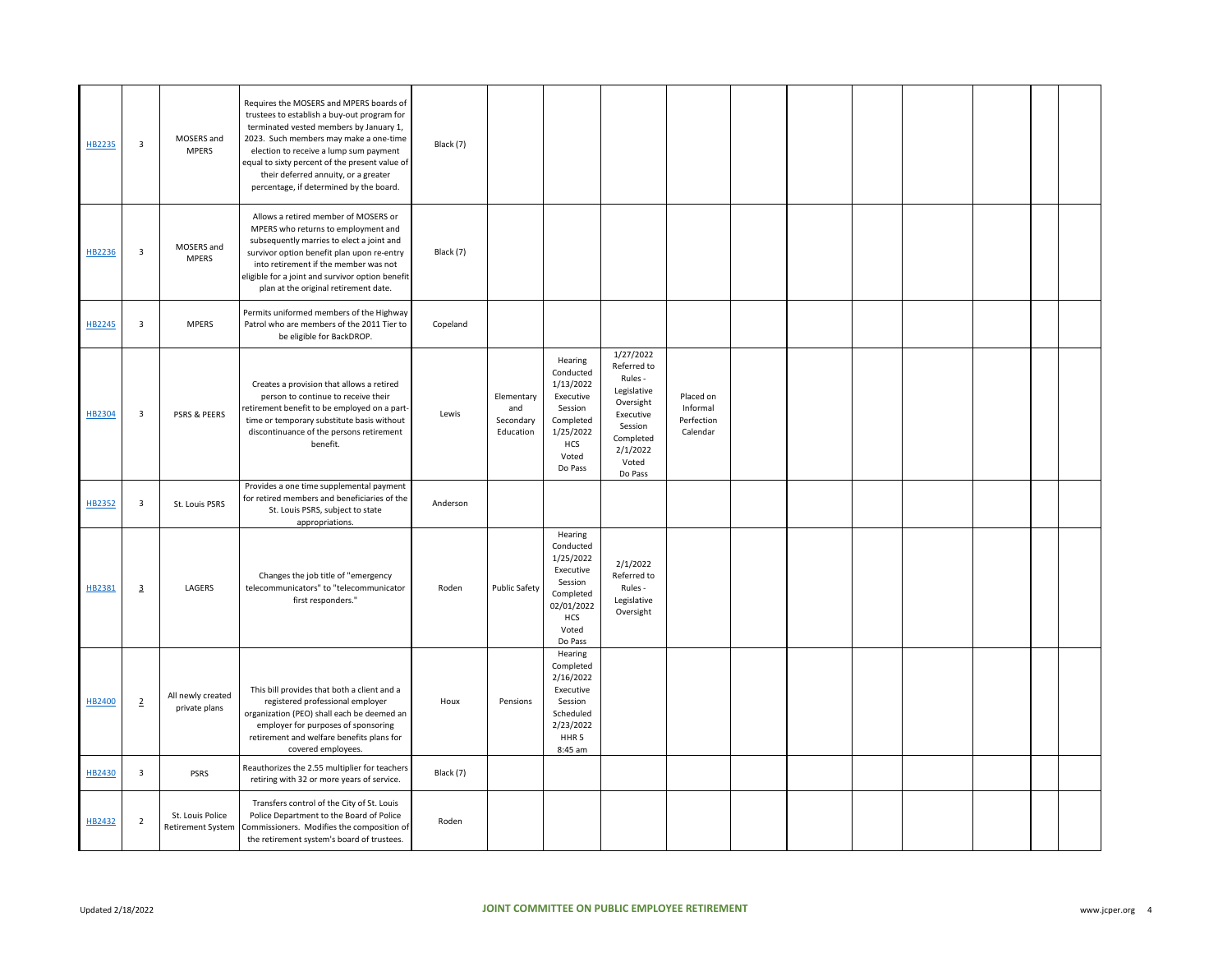| HB2235        | $\overline{\mathbf{3}}$ | MOSERS and<br><b>MPERS</b>                   | Requires the MOSERS and MPERS boards of<br>trustees to establish a buy-out program for<br>terminated vested members by January 1,<br>2023. Such members may make a one-time<br>election to receive a lump sum payment<br>equal to sixty percent of the present value of<br>their deferred annuity, or a greater<br>percentage, if determined by the board. | Black (7) |                                             |                                                                                                                       |                                                                                                                                      |                                                 |  |  |  |  |
|---------------|-------------------------|----------------------------------------------|------------------------------------------------------------------------------------------------------------------------------------------------------------------------------------------------------------------------------------------------------------------------------------------------------------------------------------------------------------|-----------|---------------------------------------------|-----------------------------------------------------------------------------------------------------------------------|--------------------------------------------------------------------------------------------------------------------------------------|-------------------------------------------------|--|--|--|--|
| HB2236        | $\overline{\mathbf{3}}$ | MOSERS and<br><b>MPERS</b>                   | Allows a retired member of MOSERS or<br>MPERS who returns to employment and<br>subsequently marries to elect a joint and<br>survivor option benefit plan upon re-entry<br>into retirement if the member was not<br>eligible for a joint and survivor option benefit<br>plan at the original retirement date.                                               | Black (7) |                                             |                                                                                                                       |                                                                                                                                      |                                                 |  |  |  |  |
| <b>HB2245</b> | $\overline{\mathbf{3}}$ | <b>MPERS</b>                                 | Permits uniformed members of the Highway<br>Patrol who are members of the 2011 Tier to<br>be eligible for BackDROP.                                                                                                                                                                                                                                        | Copeland  |                                             |                                                                                                                       |                                                                                                                                      |                                                 |  |  |  |  |
| HB2304        | $\overline{\mathbf{3}}$ | <b>PSRS &amp; PEERS</b>                      | Creates a provision that allows a retired<br>person to continue to receive their<br>retirement benefit to be employed on a part-<br>time or temporary substitute basis without<br>discontinuance of the persons retirement<br>benefit.                                                                                                                     | Lewis     | Elementary<br>and<br>Secondary<br>Education | Hearing<br>Conducted<br>1/13/2022<br>Executive<br>Session<br>Completed<br>1/25/2022<br><b>HCS</b><br>Voted<br>Do Pass | 1/27/2022<br>Referred to<br>Rules -<br>Legislative<br>Oversight<br>Executive<br>Session<br>Completed<br>2/1/2022<br>Voted<br>Do Pass | Placed on<br>Informal<br>Perfection<br>Calendar |  |  |  |  |
| HB2352        | $\overline{\mathbf{3}}$ | St. Louis PSRS                               | Provides a one time supplemental payment<br>for retired members and beneficiaries of the<br>St. Louis PSRS, subject to state<br>appropriations.                                                                                                                                                                                                            | Anderson  |                                             |                                                                                                                       |                                                                                                                                      |                                                 |  |  |  |  |
| HB2381        | $\overline{3}$          | LAGERS                                       | Changes the job title of "emergency<br>telecommunicators" to "telecommunicator<br>first responders."                                                                                                                                                                                                                                                       | Roden     | Public Safety                               | Hearing<br>Conducted<br>1/25/2022<br>Executive<br>Session<br>Completed<br>02/01/2022<br>HCS<br>Voted<br>Do Pass       | 2/1/2022<br>Referred to<br>Rules -<br>Legislative<br>Oversight                                                                       |                                                 |  |  |  |  |
| HB2400        | $\overline{2}$          | All newly created<br>private plans           | This bill provides that both a client and a<br>registered professional employer<br>organization (PEO) shall each be deemed an<br>employer for purposes of sponsoring<br>retirement and welfare benefits plans for<br>covered employees.                                                                                                                    | Houx      | Pensions                                    | Hearing<br>Completed<br>2/16/2022<br>Executive<br>Session<br>Scheduled<br>2/23/2022<br>HHR <sub>5</sub><br>8:45 am    |                                                                                                                                      |                                                 |  |  |  |  |
| HB2430        | $\overline{\mathbf{3}}$ | PSRS                                         | Reauthorizes the 2.55 multiplier for teachers<br>retiring with 32 or more years of service.                                                                                                                                                                                                                                                                | Black (7) |                                             |                                                                                                                       |                                                                                                                                      |                                                 |  |  |  |  |
| HB2432        | $\overline{2}$          | St. Louis Police<br><b>Retirement System</b> | Transfers control of the City of St. Louis<br>Police Department to the Board of Police<br>Commissioners. Modifies the composition of<br>the retirement system's board of trustees.                                                                                                                                                                         | Roden     |                                             |                                                                                                                       |                                                                                                                                      |                                                 |  |  |  |  |